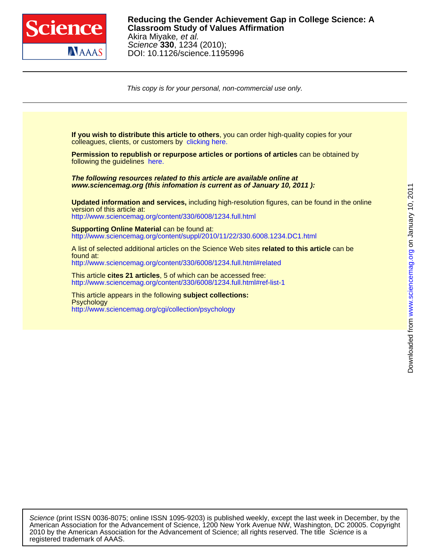

This copy is for your personal, non-commercial use only.

colleagues, clients, or customers by [clicking here.](http://www.sciencemag.org/about/permissions.dtl) **If you wish to distribute this article to others**, you can order high-quality copies for your

following the guidelines [here.](http://www.sciencemag.org/about/permissions.dtl) **Permission to republish or repurpose articles or portions of articles** can be obtained by

**www.sciencemag.org (this infomation is current as of January 10, 2011 ): The following resources related to this article are available online at**

<http://www.sciencemag.org/content/330/6008/1234.full.html> version of this article at: **Updated information and services,** including high-resolution figures, can be found in the online

<http://www.sciencemag.org/content/suppl/2010/11/22/330.6008.1234.DC1.html> **Supporting Online Material can be found at:** 

<http://www.sciencemag.org/content/330/6008/1234.full.html#related> found at: A list of selected additional articles on the Science Web sites **related to this article** can be

<http://www.sciencemag.org/content/330/6008/1234.full.html#ref-list-1> This article **cites 21 articles**, 5 of which can be accessed free:

<http://www.sciencemag.org/cgi/collection/psychology> **Psychology** This article appears in the following **subject collections:**

registered trademark of AAAS. 2010 by the American Association for the Advancement of Science; all rights reserved. The title Science is a American Association for the Advancement of Science, 1200 New York Avenue NW, Washington, DC 20005. Copyright Science (print ISSN 0036-8075; online ISSN 1095-9203) is published weekly, except the last week in December, by the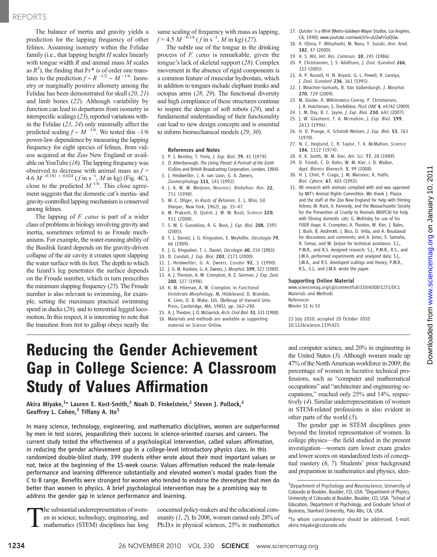# REPORTS

The balance of inertia and gravity yields a prediction for the lapping frequency of other felines. Assuming isometry within the Felidae family (i.e., that lapping height  $H$  scales linearly with tongue width  $R$  and animal mass  $M$  scales as  $R<sup>3</sup>$ ), the finding that Fr\* is of order one translates to the prediction  $f \sim R^{-1/2} \sim M^{-1/6}$ . Isometry or marginally positive allomety among the Felidae has been demonstrated for skull (20, 21) and limb bones (22). Although variability by function can lead to departures from isometry in interspecific scalings (23), reported variations within the Felidae (23, 24) only minimally affect the predicted scaling  $f \sim M^{-1/6}$ . We tested this –1/6 power-law dependence by measuring the lapping frequency for eight species of felines, from videos acquired at the Zoo New England or available on YouTube  $(16)$ . The lapping frequency was observed to decrease with animal mass as  $f =$ 4.6  $M^{-0.181 \pm 0.024}$  ( $f$  in s<sup>-1</sup>,  $M$  in kg) (Fig. 4C), close to the predicted  $M^{-1/6}$ . This close agreement suggests that the domestic cat's inertia- and gravity-controlled lapping mechanism is conserved among felines.

The lapping of *F. catus* is part of a wider class of problems in biology involving gravity and inertia, sometimes referred to as Froude mechanisms. For example, the water-running ability of the Basilisk lizard depends on the gravity-driven collapse of the air cavity it creates upon slapping the water surface with its feet. The depth to which the lizard's leg penetrates the surface depends on the Froude number, which in turn prescribes the minimum slapping frequency (25). The Froude number is also relevant to swimming, for example, setting the maximum practical swimming speed in ducks (26), and to terrestrial legged locomotion. In this respect, it is interesting to note that the transition from trot to gallop obeys nearly the

same scaling of frequency with mass as lapping,  $f = 4.5 M^{-0.14} (f \text{ in s}^{-1}, M \text{ in kg})$  (27).

The subtle use of the tongue in the drinking process of F. catus is remarkable, given the tongue's lack of skeletal support (28). Complex movement in the absence of rigid components is a common feature of muscular hydrostats, which in addition to tongues include elephant trunks and octopus arms (28, 29). The functional diversity and high compliance of these structures continue to inspire the design of soft robots (29), and a fundamental understanding of their functionality can lead to new design concepts and is essential to inform biomechanical models (29, 30).

### References and Notes

- 1. P. J. Bentley, T. Yorio, J. Exp. Biol. 79, 41 (1979).
- 2. D. Attenborough, The Living Planet: A Portrait of the Earth (Collins and British Broadcasting Corporation, London, 1984).
- 3. J. Heidweiller, J. A. van Loon, G. A. Zweers, Zoomorphology 111, 141 (1992).
- 4. J. A. W. M. Weijnen, Neurosci. Biobehav. Rev. 22, 751 (1998).
- 5. W. C. Dilger, in Roots of Behavior, E. L. Bliss, Ed. (Harper, New York, 1962), pp. 35–47.
- 6. M. Prakash, D. Quéré, J. W. M. Bush, Science 320, 931 (2008).
- 7. S. W. S. Gussekloo, R. G. Bout, J. Exp. Biol. 208, 3395 (2005).
- 8. T. L. Daniel, J. G. Kingsolver, E. Meyhöfer, Oecologia 79, 66 (1989).
- 9. J. G. Kingsolver, T. L. Daniel, Oecologia 60, 214 (1983).
- 10. D. Cundall, J. Exp. Biol. 203, 2171 (2000).
- 11. J. Heidweiller, G. A. Zweers, Condor 92, 1 (1990).
- 12. J. G. M. Kooloos, G. A. Zweers, J. Morphol. 199, 327 (1989).
- 13. A. J. Thexton, A. W. Crompton, R. Z. German, J. Exp. Zool. 280, 327 (1998).
- 14. K. M. Hiiemae, A. W. Crompton, in Functional Vertebrate Morphology, M. Hildebrand, D. Bramble, K. Liem, D. B. Wake, Eds. (Belknap of Harvard Univ. Press, Cambridge, MA, 1985), pp. 262–290.
- 15. A. J. Thexton, J. D. McGarrick, Arch. Oral Biol. 33, 331 (1988).
- 16. Materials and methods are available as supporting
- 17. Quicker 'n a Wink (Metro-Goldwyn-Mayer Studios, Los Angeles, CA, 1940); www.youtube.com/watch?v=jUZwFrGzQGw.
- 18. K. Ojima, F. Mitsuhashi, M. Nasu, Y. Suzuki, Ann. Anat. 182, 47 (2000).
- 19. A. S. Ahl, Vet. Res. Commun. 10, 245 (1986).
- 20. P. Christiansen, J. S. Adolfssen, J. Zool. (London) 266, 133 (2005).
- 21. A. P. Russell, H. N. Bryant, G. L. Powell, R. Laroiya, J. Zool. (London) 236, 161 (1995).
- 22. J. Meachen-Samuels, B. Van Valkenburgh, J. Morphol. 270, 729 (2009).
- 23. M. Doube, A. Wiktorowicz-Conroy, P. Christiansen, J. R. Hutchinson, S. Shefelbine, PLoS ONE 4, e4742 (2009).
- 24. L. M. Day, B. C. Jayne, J. Exp. Biol. 210, 642 (2007). 25. J. W. Glasheen, T. A. Mcmahon, J. Exp. Biol. 199,
- 2611 (1996). 26. H. D. Prange, K. Schmidt-Nielsen, J. Exp. Biol. 53, 763
- (1970).
- 27. N. C. Heglund, C. R. Taylor, T. A. McMahon, Science 186, 1112 (1974).
- 28. K. K. Smith, W. M. Kier, Am. Sci. 77, 28 (1989).
- 29. D. Trivedi, C. D. Rahn, W. M. Kier, I. D. Walker, Appl. Bionics Biomech. 5, 99 (2008).
- 30. H. J. Chiel, P. Crago, J. M. Mansour, K. Hathi, Biol. Cybern. 67, 403 (1992).
- 31. All research with animals complied with and was approved by MIT's Animal Rights Committee. We thank J. Piazza and the staff at the Zoo New England for help with filming felines; M. Rock, A. Kennedy, and the Massachusetts Society for the Prevention of Cruelty to Animals (MSPCA) for help with filming domestic cats; G. McKinley for use of his FiSER stage; A. Crompton, A. Thexton, W. Kier, J. Bales, J. Bush, B. Andreotti, J. Bico, D. Vella, and A. Boudaoud for discussions and comments; and A. Jones, E. Samaha, R. Tomas, and W. Jarjoui for technical assistance. S.J., P.M.R., and R.S. designed research; S.J., P.M.R., R.S., and J.M.A. performed experiments and analyzed data; S.J., J.M.A., and R.S. developed scalings and theory; P.M.R., R.S., S.J., and J.M.A. wrote the paper.

## Supporting Online Material

www.sciencemag.org/cgi/content/full/330/6008/1231/DC1 Materials and Methods References

Movies S1 to S3

21 July 2010; accepted 20 October 2010 10.1126/science.1195421

# Reducing the Gender Achievement Gap in College Science: A Classroom Study of Values Affirmation

Akira Miyake, $^{1_\star}$  Lauren E. Kost-Smith, $^2$  Noah D. Finkelstein, $^2$  Steven J. Pollock, $^2$ Geoffrey L. Cohen,<sup>3</sup> Tiffany A. Ito<sup>1</sup>

In many science, technology, engineering, and mathematics disciplines, women are outperformed by men in test scores, jeopardizing their success in science-oriented courses and careers. The current study tested the effectiveness of a psychological intervention, called values affirmation, in reducing the gender achievement gap in a college-level introductory physics class. In this randomized double-blind study, 399 students either wrote about their most important values or not, twice at the beginning of the 15-week course. Values affirmation reduced the male-female performance and learning difference substantially and elevated women's modal grades from the C to B range. Benefits were strongest for women who tended to endorse the stereotype that men do better than women in physics. A brief psychological intervention may be a promising way to address the gender gap in science performance and learning.

The substantial underrepresentation of wom-<br>en in science, technology, engineering, and<br>mathematics (STEM) disciplines has long en in science, technology, engineering, and mathematics (STEM) disciplines has long

concerned policy-makers and the educational community  $(1, 2)$ . In 2006, women earned only 28% of Ph.D.s in physical sciences, 25% in mathematics

and computer science, and 20% in engineering in the United States (3). Although women made up 47% of the North American workforce in 2009, the percentage of women in lucrative technical professions, such as "computer and mathematical occupations" and "architecture and engineering occupations," reached only 25% and 14%, respectively (4). Similar underrepresentation of women in STEM-related professions is also evident in other parts of the world  $(5)$ .

The gender gap in STEM disciplines goes beyond the limited representation of women. In college physics—the field studied in the present investigation—women earn lower exam grades and lower scores on standardized tests of conceptual mastery (6, 7). Students' prior background and preparation in mathematics and physics, iden-

material on Science Online.

<sup>&</sup>lt;sup>1</sup>Department of Psychology and Neuroscience, University of Colorado at Boulder, Boulder, CO, USA. <sup>2</sup> Department of Physics, University of Colorado at Boulder, Boulder, CO, USA. <sup>3</sup>School of Education, Department of Psychology, and Graduate School of Business, Stanford University, Palo Alto, CA, USA.

<sup>\*</sup>To whom correspondence should be addressed. E-mail: akira.miyake@colorado.edu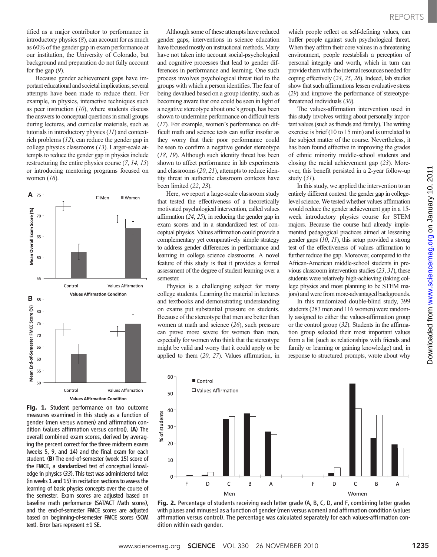tified as a major contributor to performance in introductory physics  $(8)$ , can account for as much as 60% of the gender gap in exam performance at our institution, the University of Colorado, but background and preparation do not fully account for the gap  $(9)$ .

Because gender achievement gaps have important educational and societal implications, several attempts have been made to reduce them. For example, in physics, interactive techniques such as peer instruction  $(10)$ , where students discuss the answers to conceptual questions in small groups during lectures, and curricular materials, such as tutorials in introductory physics (11) and contextrich problems (12), can reduce the gender gap in college physics classrooms (13). Larger-scale attempts to reduce the gender gap in physics include restructuring the entire physics course (7, 14, 15) or introducing mentoring programs focused on women  $(16)$ .



Fig. 1. Student performance on two outcome measures examined in this study as a function of gender (men versus women) and affirmation condition (values affirmation versus control). (A) The overall combined exam scores, derived by averaging the percent correct for the three midterm exams (weeks 5, 9, and 14) and the final exam for each student. (B) The end-of-semester (week 15) score of the FMCE, a standardized test of conceptual knowledge in physics (33). This test was administered twice (in weeks 1 and 15) in recitation sections to assess the learning of basic physics concepts over the course of the semester. Exam scores are adjusted based on baseline math performance (SAT/ACT Math scores), and the end-of-semester FMCE scores are adjusted based on beginning-of-semester FMCE scores (SOM text). Error bars represent  $\pm 1$  SE.

Although some of these attempts have reduced gender gaps, interventions in science education have focused mostly on instructional methods. Many have not taken into account social-psychological and cognitive processes that lead to gender differences in performance and learning. One such process involves psychological threat tied to the groups with which a person identifies. The fear of being devalued based on a group identity, such as becoming aware that one could be seen in light of a negative stereotype about one's group, has been shown to undermine performance on difficult tests (17). For example, women's performance on difficult math and science tests can suffer insofar as they worry that their poor performance could be seen to confirm a negative gender stereotype (18, 19). Although such identity threat has been shown to affect performance in lab experiments and classrooms (20, 21), attempts to reduce identity threat in authentic classroom contexts have been limited (22, 23).

Here, we report a large-scale classroom study that tested the effectiveness of a theoretically motivated psychological intervention, called values affirmation (24, 25), in reducing the gender gap in exam scores and in a standardized test of conceptual physics. Values affirmation could provide a complementary yet comparatively simple strategy to address gender differences in performance and learning in college science classrooms. A novel feature of this study is that it provides a formal assessment of the degree of student learning over a semester.

Physics is a challenging subject for many college students. Learning the material in lectures and textbooks and demonstrating understanding on exams put substantial pressure on students. Because of the stereotype that men are better than women at math and science (26), such pressure can prove more severe for women than men, especially for women who think that the stereotype might be valid and worry that it could apply or be applied to them (20, 27). Values affirmation, in

which people reflect on self-defining values, can buffer people against such psychological threat. When they affirm their core values in a threatening environment, people reestablish a perception of personal integrity and worth, which in turn can provide them with the internal resources needed for coping effectively (24, 25, 28). Indeed, lab studies show that such affirmations lessen evaluative stress (29) and improve the performance of stereotypethreatened individuals (30).

The values-affirmation intervention used in this study involves writing about personally important values (such as friends and family). The writing exercise is brief (10 to 15 min) and is unrelated to the subject matter of the course. Nevertheless, it has been found effective in improving the grades of ethnic minority middle-school students and closing the racial achievement gap (23). Moreover, this benefit persisted in a 2-year follow-up study (31).

In this study, we applied the intervention to an entirely different context: the gender gap in collegelevel science. We tested whether values affirmation would reduce the gender achievement gap in a 15 week introductory physics course for STEM majors. Because the course had already implemented pedagogical practices aimed at lessening gender gaps (10, 11), this setup provided a strong test of the effectiveness of values affirmation to further reduce the gap. Moreover, compared to the African-American middle-school students in previous classroom intervention studies (23, 31), these students were relatively high-achieving (taking college physics and most planning to be STEM majors) and were from more-advantaged backgrounds.

In this randomized double-blind study, 399 students (283 men and 116 women) were randomly assigned to either the values-affirmation group or the control group  $(32)$ . Students in the affirmation group selected their most important values from a list (such as relationships with friends and family or learning or gaining knowledge) and, in response to structured prompts, wrote about why



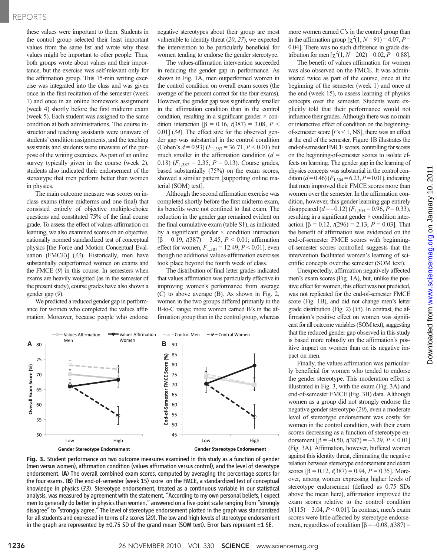## REPORTS

these values were important to them. Students in the control group selected their least important values from the same list and wrote why these values might be important to other people. Thus, both groups wrote about values and their importance, but the exercise was self-relevant only for the affirmation group. This 15-min writing exercise was integrated into the class and was given once in the first recitation of the semester (week 1) and once in an online homework assignment (week 4) shortly before the first midterm exam (week 5). Each student was assigned to the same condition at both administrations. The course instructor and teaching assistants were unaware of students' condition assignments, and the teaching assistants and students were unaware of the purpose of the writing exercises. As part of an online survey typically given in the course (week 2), students also indicated their endorsement of the stereotype that men perform better than women in physics.

The main outcome measure was scores on inclass exams (three midterms and one final) that consisted entirely of objective multiple-choice questions and constituted 75% of the final course grade. To assess the effect of values affirmation on learning, we also examined scores on an objective, nationally normed standardized test of conceptual physics [the Force and Motion Conceptual Evaluation (FMCE)] (33). Historically, men have substantially outperformed women on exams and the FMCE (9) in this course. In semesters when exams are heavily weighted (as in the semester of the present study), course grades have also shown a gender gap (9).

We predicted a reduced gender gap in performance for women who completed the values affirmation. Moreover, because people who endorse

negative stereotypes about their group are most vulnerable to identity threat (20, 27), we expected the intervention to be particularly beneficial for women tending to endorse the gender stereotype.

The values-affirmation intervention succeeded in reducing the gender gap in performance. As shown in Fig. 1A, men outperformed women in the control condition on overall exam scores (the average of the percent correct for the four exams). However, the gender gap was significantly smaller in the affirmation condition than in the control condition, resulting in a significant gender  $\times$  condition interaction  $[\beta = 0.16, t(387) = 3.08, P <$ 0.01] (34). The effect size for the observed gender gap was substantial in the control condition (Cohen's  $d = 0.93$ )  $(F_{1,387} = 36.71, P < 0.01)$  but much smaller in the affirmation condition  $(d =$ 0.18)  $(F_{1,387} = 2.35, P = 0.13)$ . Course grades, based substantially (75%) on the exam scores, showed a similar pattern [supporting online material (SOM) text].

Although the second affirmation exercise was completed shortly before the first midterm exam, its benefits were not confined to that exam. The reduction in the gender gap remained evident on the final cumulative exam (table S1), as indicated by a significant gender  $\times$  condition interaction  $[\beta = 0.19, t(387) = 3.45, P < 0.01;$  affirmation effect for women,  $F_{1,387} = 12.49, P \le 0.01$ , even though no additional values-affirmation exercises took place beyond the fourth week of class.

The distribution of final letter grades indicated that values affirmation was particularly effective in improving women's performance from average (C) to above average (B). As shown in Fig. 2, women in the two groups differed primarily in the B-to-C range; more women earned B's in the affirmation group than in the control group, whereas



Fig. 3. Student performance on two outcome measures examined in this study as a function of gender (men versus women), affirmation condition (values affirmation versus control), and the level of stereotype endorsement. (A) The overall combined exam scores, computed by averaging the percentage scores for the four exams. (B) The end-of-semester (week 15) score on the FMCE, a standardized test of conceptual knowledge in physics (33). Stereotype endorsement, treated as a continuous variable in our statistical analysis, was measured by agreement with the statement, "According to my own personal beliefs, I expect men to generally do better in physics than women," answered on a five-point scale ranging from "strongly disagree" to "strongly agree." The level of stereotype endorsement plotted in the graph was standardized for all students and expressed in terms of z scores (20). The low and high levels of stereotype endorsement in the graph are represented by  $\pm$ 0.75 SD of the grand mean (SOM text). Error bars represent  $\pm$ 1 SE.

more women earned C's in the control group than in the affirmation group  $[\chi^2(1, N=91) = 4.07, P=$ 0.04]. There was no such difference in grade distribution for men  $\left[\chi^2(1, N=202)\right] = 0.02, P=0.88$ ].

The benefit of values affirmation for women was also observed on the FMCE. It was administered twice as part of the course, once at the beginning of the semester (week 1) and once at the end (week 15), to assess learning of physics concepts over the semester. Students were explicitly told that their performance would not influence their grades. Although there was no main or interactive effect of condition on the beginningof-semester score  $[t$ 's < 1, NS], there was an effect at the end of the semester. Figure 1B illustrates the end-of-semester FMCE scores, controlling for scores on the beginning-of-semester scores to isolate effects on learning. The gender gap in the learning of physics concepts was substantial in the control condition ( $d = 0.46$ ) ( $F_{1,304} = 6.23$ ,  $P = 0.01$ ), indicating that men improved their FMCE scores more than women over the semester. In the affirmation condition, however, this gender learning gap entirely disappeared  $(d = -0.12)$   $(F_{1,304} = 0.96, P = 0.33)$ , resulting in a significant gender × condition interaction  $\beta = 0.12$ ,  $t(296) = 2.13$ ,  $P = 0.03$ . That the benefit of affirmation was evidenced on the end-of-semester FMCE scores with beginningof-semester scores controlled suggests that the intervention facilitated women's learning of scientific concepts over the semester (SOM text).

Unexpectedly, affirmation negatively affected men's exam scores (Fig. 1A), but, unlike the positive effect for women, this effect was not predicted, was not replicated for the end-of-semester FMCE score (Fig. 1B), and did not change men's letter grade distribution (Fig. 2) (35). In contrast, the affirmation's positive effect on women was significant for all outcome variables (SOM text), suggesting that the reduced gender gap observed in this study is based more robustly on the affirmation's positive impact on women than on its negative impact on men.

Finally, the values affirmation was particularly beneficial for women who tended to endorse the gender stereotype. This moderation effect is illustrated in Fig. 3, with the exam (Fig. 3A) and end-of-semester FMCE (Fig. 3B) data. Although women as a group did not strongly endorse the negative gender stereotype (20), even a moderate level of stereotype endorsement was costly for women in the control condition, with their exam scores decreasing as a function of stereotype endorsement  $\left[\beta = -0.50, t(387) = -3.29, P < 0.01\right]$ (Fig. 3A). Affirmation, however, buffered women against this identity threat, eliminating the negative relation between stereotype endorsement and exam scores  $[\beta = 0.12, t(387) = 0.94, P = 0.35]$ . Moreover, among women expressing higher levels of stereotype endorsement (defined as 0.75 SDs above the mean here), affirmation improved the exam scores relative to the control condition  $[t(115) = 3.04, P < 0.01]$ . In contrast, men's exam scores were little affected by stereotype endorsement, regardless of condition  $\beta = -0.08$ ,  $t(387) =$